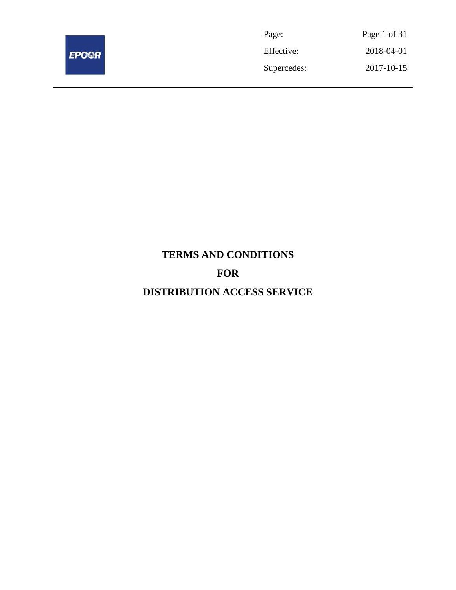

| Page:       | Page 1 of 31 |
|-------------|--------------|
| Effective:  | 2018-04-01   |
| Supercedes: | 2017-10-15   |

# **TERMS AND CONDITIONS FOR DISTRIBUTION ACCESS SERVICE**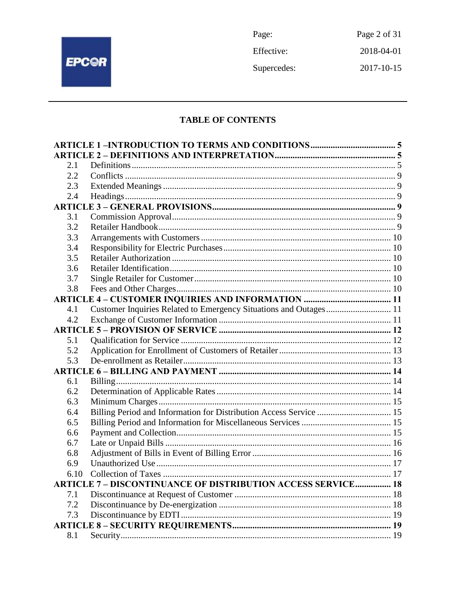

Page: Page 2 of 31 2018-04-01 Effective: Supercedes:  $2017 - 10 - 15$ 

# **TABLE OF CONTENTS**

| 2.1  |                                                                     |  |
|------|---------------------------------------------------------------------|--|
| 2.2  |                                                                     |  |
| 2.3  |                                                                     |  |
| 2.4  |                                                                     |  |
|      |                                                                     |  |
| 3.1  |                                                                     |  |
| 3.2  |                                                                     |  |
| 3.3  |                                                                     |  |
| 3.4  |                                                                     |  |
| 3.5  |                                                                     |  |
| 3.6  |                                                                     |  |
| 3.7  |                                                                     |  |
| 3.8  |                                                                     |  |
|      |                                                                     |  |
| 4.1  | Customer Inquiries Related to Emergency Situations and Outages 11   |  |
| 4.2  |                                                                     |  |
|      |                                                                     |  |
| 5.1  |                                                                     |  |
| 5.2  |                                                                     |  |
| 5.3  |                                                                     |  |
|      |                                                                     |  |
| 6.1  |                                                                     |  |
| 6.2  |                                                                     |  |
| 6.3  |                                                                     |  |
| 6.4  | Billing Period and Information for Distribution Access Service  15  |  |
| 6.5  |                                                                     |  |
| 6.6  |                                                                     |  |
| 6.7  |                                                                     |  |
| 6.8  |                                                                     |  |
| 6.9  |                                                                     |  |
| 6.10 |                                                                     |  |
|      | <b>ARTICLE 7 - DISCONTINUANCE OF DISTRIBUTION ACCESS SERVICE 18</b> |  |
| 7.1  |                                                                     |  |
| 7.2  |                                                                     |  |
| 7.3  |                                                                     |  |
|      |                                                                     |  |
| 8.1  |                                                                     |  |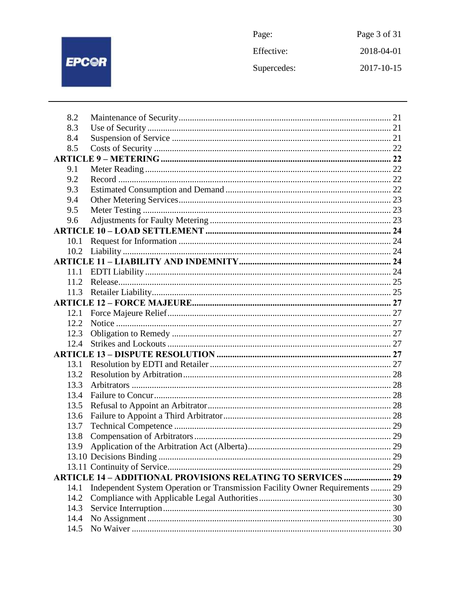# EPC@R

| Page:       | Page 3 of 31 |
|-------------|--------------|
| Effective:  | 2018-04-01   |
| Supercedes: | 2017-10-15   |

| 8.2  |                                                                              |  |
|------|------------------------------------------------------------------------------|--|
| 8.3  |                                                                              |  |
| 8.4  |                                                                              |  |
| 8.5  |                                                                              |  |
|      |                                                                              |  |
| 9.1  |                                                                              |  |
| 9.2  |                                                                              |  |
| 9.3  |                                                                              |  |
| 9.4  |                                                                              |  |
| 9.5  |                                                                              |  |
| 9.6  |                                                                              |  |
|      |                                                                              |  |
| 10.1 |                                                                              |  |
|      |                                                                              |  |
|      |                                                                              |  |
| 11.1 |                                                                              |  |
| 11.2 |                                                                              |  |
|      |                                                                              |  |
|      |                                                                              |  |
| 12.1 |                                                                              |  |
| 12.2 |                                                                              |  |
| 12.3 |                                                                              |  |
| 12.4 |                                                                              |  |
|      |                                                                              |  |
| 13.1 |                                                                              |  |
| 13.2 |                                                                              |  |
| 13.3 |                                                                              |  |
| 13.4 |                                                                              |  |
| 13.5 |                                                                              |  |
| 13.6 |                                                                              |  |
| 13.7 |                                                                              |  |
| 13.8 |                                                                              |  |
| 13.9 |                                                                              |  |
|      |                                                                              |  |
|      |                                                                              |  |
|      | <b>ARTICLE 14 - ADDITIONAL PROVISIONS RELATING TO SERVICES  29</b>           |  |
| 14.1 | Independent System Operation or Transmission Facility Owner Requirements  29 |  |
| 14.2 |                                                                              |  |
| 14.3 |                                                                              |  |
| 14.4 |                                                                              |  |
| 14.5 |                                                                              |  |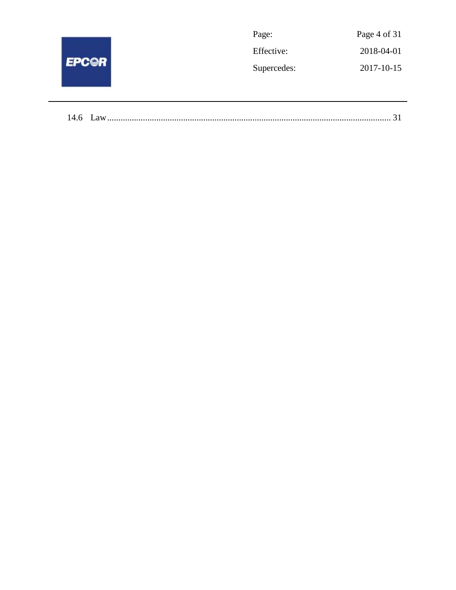|              | Page:       | Page 4 of 31 |
|--------------|-------------|--------------|
| <b>EPCOR</b> | Effective:  | 2018-04-01   |
|              | Supercedes: | 2017-10-15   |
|              |             |              |

| 14.6 |  |
|------|--|
|------|--|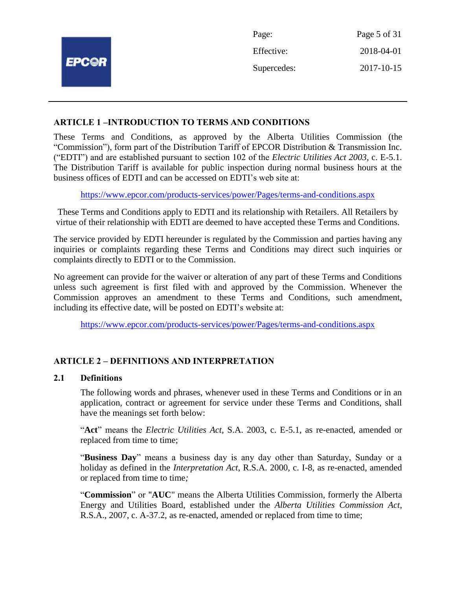|              | Page:       | Page 5 of 31 |
|--------------|-------------|--------------|
|              | Effective:  | 2018-04-01   |
| <b>EPCOR</b> | Supercedes: | 2017-10-15   |
|              |             |              |

# **ARTICLE 1 –INTRODUCTION TO TERMS AND CONDITIONS**

These Terms and Conditions, as approved by the Alberta Utilities Commission (the "Commission"), form part of the Distribution Tariff of EPCOR Distribution & Transmission Inc. ("EDTI") and are established pursuant to section 102 of the *Electric Utilities Act 2003*, c. E-5.1. The Distribution Tariff is available for public inspection during normal business hours at the business offices of EDTI and can be accessed on EDTI's web site at:

<https://www.epcor.com/products-services/power/Pages/terms-and-conditions.aspx>

These Terms and Conditions apply to EDTI and its relationship with Retailers. All Retailers by virtue of their relationship with EDTI are deemed to have accepted these Terms and Conditions.

The service provided by EDTI hereunder is regulated by the Commission and parties having any inquiries or complaints regarding these Terms and Conditions may direct such inquiries or complaints directly to EDTI or to the Commission.

No agreement can provide for the waiver or alteration of any part of these Terms and Conditions unless such agreement is first filed with and approved by the Commission. Whenever the Commission approves an amendment to these Terms and Conditions, such amendment, including its effective date, will be posted on EDTI's website at:

<https://www.epcor.com/products-services/power/Pages/terms-and-conditions.aspx>

# **ARTICLE 2 – DEFINITIONS AND INTERPRETATION**

#### **2.1 Definitions**

The following words and phrases, whenever used in these Terms and Conditions or in an application, contract or agreement for service under these Terms and Conditions, shall have the meanings set forth below:

"**Act**" means the *Electric Utilities Act*, S.A. 2003, c. E-5.1, as re-enacted, amended or replaced from time to time;

"**Business Day**" means a business day is any day other than Saturday, Sunday or a holiday as defined in the *Interpretation Act*, R.S.A. 2000, c. I-8, as re-enacted, amended or replaced from time to time*;*

"**Commission**" or "**AUC**" means the Alberta Utilities Commission, formerly the Alberta Energy and Utilities Board, established under the *Alberta Utilities Commission Act*, R.S.A., 2007, c. A-37.2, as re-enacted, amended or replaced from time to time;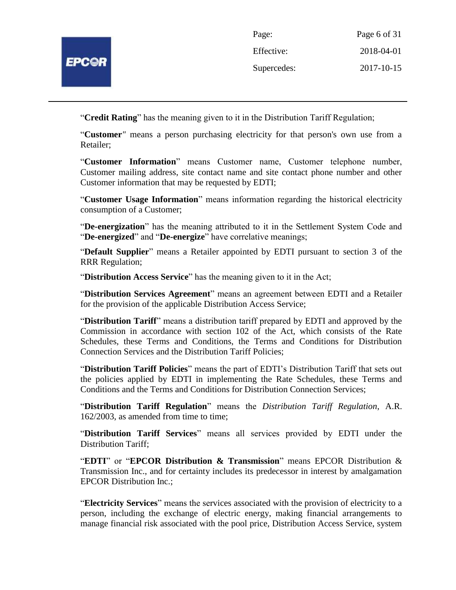

| Page:       | Page 6 of 31 |
|-------------|--------------|
| Effective:  | 2018-04-01   |
| Supercedes: | 2017-10-15   |

"**Credit Rating**" has the meaning given to it in the Distribution Tariff Regulation;

"**Customer***"* means a person purchasing electricity for that person's own use from a Retailer;

"**Customer Information**" means Customer name, Customer telephone number, Customer mailing address, site contact name and site contact phone number and other Customer information that may be requested by EDTI;

"**Customer Usage Information**" means information regarding the historical electricity consumption of a Customer;

"**De-energization**" has the meaning attributed to it in the Settlement System Code and "**De-energized**" and "**De-energize**" have correlative meanings;

"**Default Supplier**" means a Retailer appointed by EDTI pursuant to section 3 of the RRR Regulation;

"**Distribution Access Service**" has the meaning given to it in the Act;

"**Distribution Services Agreement**" means an agreement between EDTI and a Retailer for the provision of the applicable Distribution Access Service;

"**Distribution Tariff**" means a distribution tariff prepared by EDTI and approved by the Commission in accordance with section 102 of the Act, which consists of the Rate Schedules, these Terms and Conditions, the Terms and Conditions for Distribution Connection Services and the Distribution Tariff Policies;

"**Distribution Tariff Policies**" means the part of EDTI's Distribution Tariff that sets out the policies applied by EDTI in implementing the Rate Schedules, these Terms and Conditions and the Terms and Conditions for Distribution Connection Services;

"**Distribution Tariff Regulation**" means the *Distribution Tariff Regulation*, A.R. 162/2003, as amended from time to time;

"**Distribution Tariff Services**" means all services provided by EDTI under the Distribution Tariff;

"**EDTI**" or "**EPCOR Distribution & Transmission**" means EPCOR Distribution & Transmission Inc., and for certainty includes its predecessor in interest by amalgamation EPCOR Distribution Inc.;

"**Electricity Services**" means the services associated with the provision of electricity to a person, including the exchange of electric energy, making financial arrangements to manage financial risk associated with the pool price, Distribution Access Service, system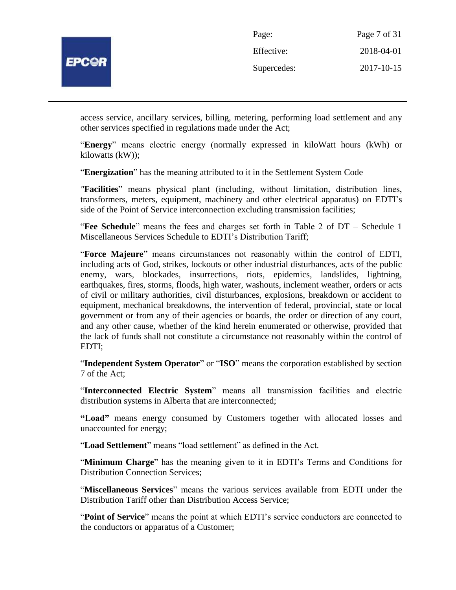

| Page:       | Page 7 of 31 |
|-------------|--------------|
| Effective:  | 2018-04-01   |
| Supercedes: | 2017-10-15   |

access service, ancillary services, billing, metering, performing load settlement and any other services specified in regulations made under the Act;

"**Energy**" means electric energy (normally expressed in kiloWatt hours (kWh) or kilowatts (kW));

"**Energization**" has the meaning attributed to it in the Settlement System Code

*"***Facilities**" means physical plant (including, without limitation, distribution lines, transformers, meters, equipment, machinery and other electrical apparatus) on EDTI's side of the Point of Service interconnection excluding transmission facilities;

"**Fee Schedule**" means the fees and charges set forth in Table 2 of DT – Schedule 1 Miscellaneous Services Schedule to EDTI's Distribution Tariff;

"**Force Majeure**" means circumstances not reasonably within the control of EDTI, including acts of God, strikes, lockouts or other industrial disturbances, acts of the public enemy, wars, blockades, insurrections, riots, epidemics, landslides, lightning, earthquakes, fires, storms, floods, high water, washouts, inclement weather, orders or acts of civil or military authorities, civil disturbances, explosions, breakdown or accident to equipment, mechanical breakdowns, the intervention of federal, provincial, state or local government or from any of their agencies or boards, the order or direction of any court, and any other cause, whether of the kind herein enumerated or otherwise, provided that the lack of funds shall not constitute a circumstance not reasonably within the control of EDTI;

"**Independent System Operator**" or "**ISO**" means the corporation established by section 7 of the Act;

"**Interconnected Electric System**" means all transmission facilities and electric distribution systems in Alberta that are interconnected;

**"Load"** means energy consumed by Customers together with allocated losses and unaccounted for energy;

"**Load Settlement**" means "load settlement" as defined in the Act.

"**Minimum Charge**" has the meaning given to it in EDTI's Terms and Conditions for Distribution Connection Services;

"**Miscellaneous Services**" means the various services available from EDTI under the Distribution Tariff other than Distribution Access Service;

"**Point of Service**" means the point at which EDTI's service conductors are connected to the conductors or apparatus of a Customer;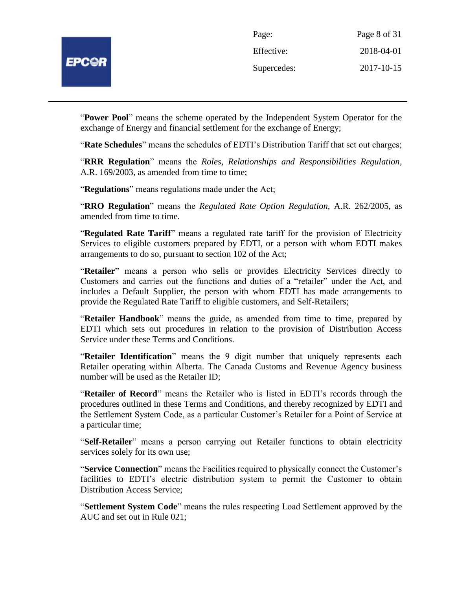

| Page:       | Page 8 of 31 |
|-------------|--------------|
| Effective:  | 2018-04-01   |
| Supercedes: | 2017-10-15   |

"**Power Pool**" means the scheme operated by the Independent System Operator for the exchange of Energy and financial settlement for the exchange of Energy;

"**Rate Schedules**" means the schedules of EDTI's Distribution Tariff that set out charges;

"**RRR Regulation**" means the *Roles, Relationships and Responsibilities Regulation*, A.R. 169/2003, as amended from time to time;

"**Regulations**" means regulations made under the Act;

"**RRO Regulation**" means the *Regulated Rate Option Regulation*, A.R. 262/2005, as amended from time to time.

"**Regulated Rate Tariff**" means a regulated rate tariff for the provision of Electricity Services to eligible customers prepared by EDTI, or a person with whom EDTI makes arrangements to do so, pursuant to section 102 of the Act;

"**Retailer**" means a person who sells or provides Electricity Services directly to Customers and carries out the functions and duties of a "retailer" under the Act, and includes a Default Supplier, the person with whom EDTI has made arrangements to provide the Regulated Rate Tariff to eligible customers, and Self-Retailers;

"**Retailer Handbook**" means the guide, as amended from time to time, prepared by EDTI which sets out procedures in relation to the provision of Distribution Access Service under these Terms and Conditions.

"**Retailer Identification**" means the 9 digit number that uniquely represents each Retailer operating within Alberta. The Canada Customs and Revenue Agency business number will be used as the Retailer ID;

"**Retailer of Record**" means the Retailer who is listed in EDTI's records through the procedures outlined in these Terms and Conditions, and thereby recognized by EDTI and the Settlement System Code, as a particular Customer's Retailer for a Point of Service at a particular time;

"**Self-Retailer**" means a person carrying out Retailer functions to obtain electricity services solely for its own use;

"**Service Connection**" means the Facilities required to physically connect the Customer's facilities to EDTI's electric distribution system to permit the Customer to obtain Distribution Access Service;

"**Settlement System Code**" means the rules respecting Load Settlement approved by the AUC and set out in Rule 021;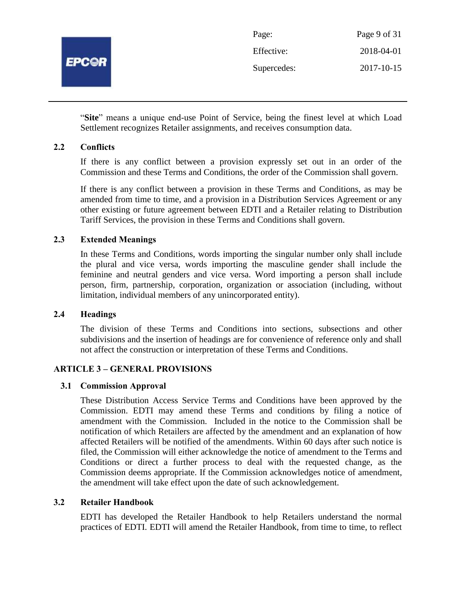

| Page:       | Page 9 of 31 |
|-------------|--------------|
| Effective:  | 2018-04-01   |
| Supercedes: | 2017-10-15   |

"**Site**" means a unique end-use Point of Service, being the finest level at which Load Settlement recognizes Retailer assignments, and receives consumption data.

#### **2.2 Conflicts**

If there is any conflict between a provision expressly set out in an order of the Commission and these Terms and Conditions, the order of the Commission shall govern.

If there is any conflict between a provision in these Terms and Conditions, as may be amended from time to time, and a provision in a Distribution Services Agreement or any other existing or future agreement between EDTI and a Retailer relating to Distribution Tariff Services, the provision in these Terms and Conditions shall govern.

# **2.3 Extended Meanings**

In these Terms and Conditions, words importing the singular number only shall include the plural and vice versa, words importing the masculine gender shall include the feminine and neutral genders and vice versa. Word importing a person shall include person, firm, partnership, corporation, organization or association (including, without limitation, individual members of any unincorporated entity).

#### **2.4 Headings**

The division of these Terms and Conditions into sections, subsections and other subdivisions and the insertion of headings are for convenience of reference only and shall not affect the construction or interpretation of these Terms and Conditions.

# **ARTICLE 3 – GENERAL PROVISIONS**

#### **3.1 Commission Approval**

These Distribution Access Service Terms and Conditions have been approved by the Commission. EDTI may amend these Terms and conditions by filing a notice of amendment with the Commission. Included in the notice to the Commission shall be notification of which Retailers are affected by the amendment and an explanation of how affected Retailers will be notified of the amendments. Within 60 days after such notice is filed, the Commission will either acknowledge the notice of amendment to the Terms and Conditions or direct a further process to deal with the requested change, as the Commission deems appropriate. If the Commission acknowledges notice of amendment, the amendment will take effect upon the date of such acknowledgement.

#### **3.2 Retailer Handbook**

EDTI has developed the Retailer Handbook to help Retailers understand the normal practices of EDTI. EDTI will amend the Retailer Handbook, from time to time, to reflect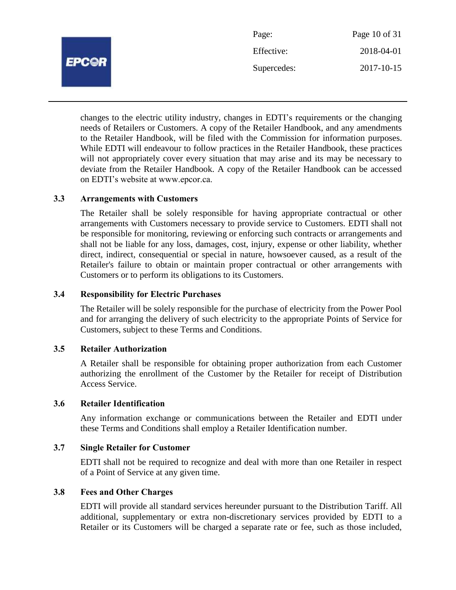

changes to the electric utility industry, changes in EDTI's requirements or the changing needs of Retailers or Customers. A copy of the Retailer Handbook, and any amendments to the Retailer Handbook, will be filed with the Commission for information purposes. While EDTI will endeavour to follow practices in the Retailer Handbook, these practices will not appropriately cover every situation that may arise and its may be necessary to deviate from the Retailer Handbook. A copy of the Retailer Handbook can be accessed on EDTI's website at www.epcor.ca.

#### **3.3 Arrangements with Customers**

**EPC@R** 

The Retailer shall be solely responsible for having appropriate contractual or other arrangements with Customers necessary to provide service to Customers. EDTI shall not be responsible for monitoring, reviewing or enforcing such contracts or arrangements and shall not be liable for any loss, damages, cost, injury, expense or other liability, whether direct, indirect, consequential or special in nature, howsoever caused, as a result of the Retailer's failure to obtain or maintain proper contractual or other arrangements with Customers or to perform its obligations to its Customers.

#### **3.4 Responsibility for Electric Purchases**

The Retailer will be solely responsible for the purchase of electricity from the Power Pool and for arranging the delivery of such electricity to the appropriate Points of Service for Customers, subject to these Terms and Conditions.

#### **3.5 Retailer Authorization**

A Retailer shall be responsible for obtaining proper authorization from each Customer authorizing the enrollment of the Customer by the Retailer for receipt of Distribution Access Service.

#### **3.6 Retailer Identification**

Any information exchange or communications between the Retailer and EDTI under these Terms and Conditions shall employ a Retailer Identification number.

#### **3.7 Single Retailer for Customer**

EDTI shall not be required to recognize and deal with more than one Retailer in respect of a Point of Service at any given time.

#### **3.8 Fees and Other Charges**

EDTI will provide all standard services hereunder pursuant to the Distribution Tariff. All additional, supplementary or extra non-discretionary services provided by EDTI to a Retailer or its Customers will be charged a separate rate or fee, such as those included,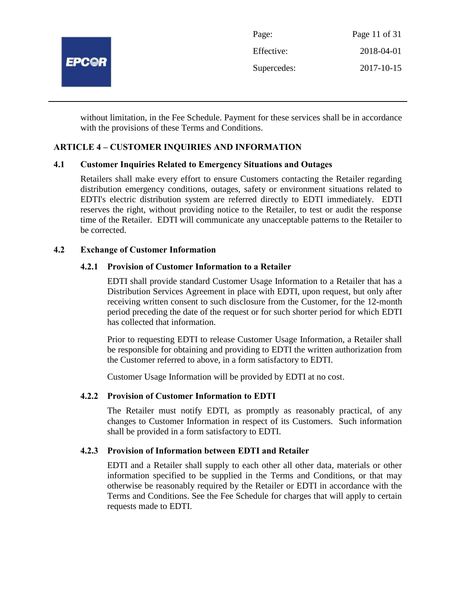

without limitation, in the Fee Schedule. Payment for these services shall be in accordance with the provisions of these Terms and Conditions.

# **ARTICLE 4 – CUSTOMER INQUIRIES AND INFORMATION**

#### **4.1 Customer Inquiries Related to Emergency Situations and Outages**

Retailers shall make every effort to ensure Customers contacting the Retailer regarding distribution emergency conditions, outages, safety or environment situations related to EDTI's electric distribution system are referred directly to EDTI immediately. EDTI reserves the right, without providing notice to the Retailer, to test or audit the response time of the Retailer. EDTI will communicate any unacceptable patterns to the Retailer to be corrected.

#### **4.2 Exchange of Customer Information**

#### **4.2.1 Provision of Customer Information to a Retailer**

EDTI shall provide standard Customer Usage Information to a Retailer that has a Distribution Services Agreement in place with EDTI, upon request, but only after receiving written consent to such disclosure from the Customer, for the 12-month period preceding the date of the request or for such shorter period for which EDTI has collected that information.

Prior to requesting EDTI to release Customer Usage Information, a Retailer shall be responsible for obtaining and providing to EDTI the written authorization from the Customer referred to above, in a form satisfactory to EDTI.

Customer Usage Information will be provided by EDTI at no cost.

#### **4.2.2 Provision of Customer Information to EDTI**

The Retailer must notify EDTI, as promptly as reasonably practical, of any changes to Customer Information in respect of its Customers. Such information shall be provided in a form satisfactory to EDTI.

#### **4.2.3 Provision of Information between EDTI and Retailer**

EDTI and a Retailer shall supply to each other all other data, materials or other information specified to be supplied in the Terms and Conditions, or that may otherwise be reasonably required by the Retailer or EDTI in accordance with the Terms and Conditions. See the Fee Schedule for charges that will apply to certain requests made to EDTI.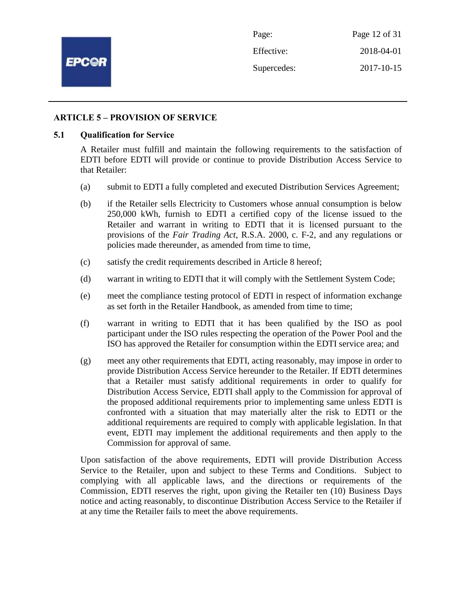

#### **ARTICLE 5 – PROVISION OF SERVICE**

#### **5.1 Qualification for Service**

A Retailer must fulfill and maintain the following requirements to the satisfaction of EDTI before EDTI will provide or continue to provide Distribution Access Service to that Retailer:

- (a) submit to EDTI a fully completed and executed Distribution Services Agreement;
- (b) if the Retailer sells Electricity to Customers whose annual consumption is below 250,000 kWh, furnish to EDTI a certified copy of the license issued to the Retailer and warrant in writing to EDTI that it is licensed pursuant to the provisions of the *Fair Trading Act*, R.S.A. 2000, c. F-2, and any regulations or policies made thereunder, as amended from time to time,
- (c) satisfy the credit requirements described in Article 8 hereof;
- (d) warrant in writing to EDTI that it will comply with the Settlement System Code;
- (e) meet the compliance testing protocol of EDTI in respect of information exchange as set forth in the Retailer Handbook, as amended from time to time;
- (f) warrant in writing to EDTI that it has been qualified by the ISO as pool participant under the ISO rules respecting the operation of the Power Pool and the ISO has approved the Retailer for consumption within the EDTI service area; and
- (g) meet any other requirements that EDTI, acting reasonably, may impose in order to provide Distribution Access Service hereunder to the Retailer. If EDTI determines that a Retailer must satisfy additional requirements in order to qualify for Distribution Access Service, EDTI shall apply to the Commission for approval of the proposed additional requirements prior to implementing same unless EDTI is confronted with a situation that may materially alter the risk to EDTI or the additional requirements are required to comply with applicable legislation. In that event, EDTI may implement the additional requirements and then apply to the Commission for approval of same.

Upon satisfaction of the above requirements, EDTI will provide Distribution Access Service to the Retailer, upon and subject to these Terms and Conditions. Subject to complying with all applicable laws, and the directions or requirements of the Commission, EDTI reserves the right, upon giving the Retailer ten (10) Business Days notice and acting reasonably, to discontinue Distribution Access Service to the Retailer if at any time the Retailer fails to meet the above requirements.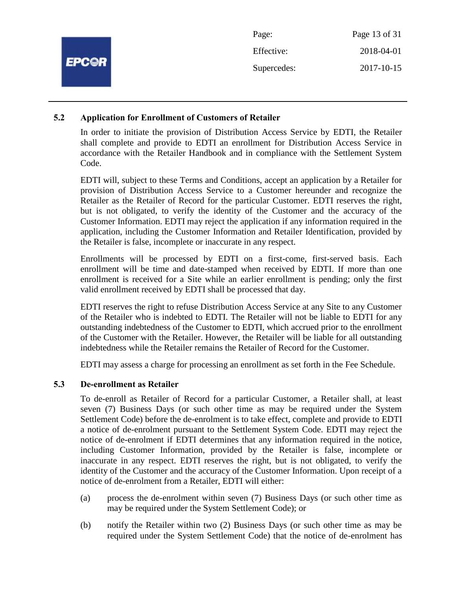|              | Page:       | Page 13 of 31 |
|--------------|-------------|---------------|
|              | Effective:  | 2018-04-01    |
| <b>EPC@R</b> | Supercedes: | 2017-10-15    |
|              |             |               |

#### **5.2 Application for Enrollment of Customers of Retailer**

In order to initiate the provision of Distribution Access Service by EDTI, the Retailer shall complete and provide to EDTI an enrollment for Distribution Access Service in accordance with the Retailer Handbook and in compliance with the Settlement System Code.

EDTI will, subject to these Terms and Conditions, accept an application by a Retailer for provision of Distribution Access Service to a Customer hereunder and recognize the Retailer as the Retailer of Record for the particular Customer. EDTI reserves the right, but is not obligated, to verify the identity of the Customer and the accuracy of the Customer Information. EDTI may reject the application if any information required in the application, including the Customer Information and Retailer Identification, provided by the Retailer is false, incomplete or inaccurate in any respect.

Enrollments will be processed by EDTI on a first-come, first-served basis. Each enrollment will be time and date-stamped when received by EDTI. If more than one enrollment is received for a Site while an earlier enrollment is pending; only the first valid enrollment received by EDTI shall be processed that day.

EDTI reserves the right to refuse Distribution Access Service at any Site to any Customer of the Retailer who is indebted to EDTI. The Retailer will not be liable to EDTI for any outstanding indebtedness of the Customer to EDTI, which accrued prior to the enrollment of the Customer with the Retailer. However, the Retailer will be liable for all outstanding indebtedness while the Retailer remains the Retailer of Record for the Customer.

EDTI may assess a charge for processing an enrollment as set forth in the Fee Schedule.

# **5.3 De-enrollment as Retailer**

To de-enroll as Retailer of Record for a particular Customer, a Retailer shall, at least seven (7) Business Days (or such other time as may be required under the System Settlement Code) before the de-enrolment is to take effect, complete and provide to EDTI a notice of de-enrolment pursuant to the Settlement System Code. EDTI may reject the notice of de-enrolment if EDTI determines that any information required in the notice, including Customer Information, provided by the Retailer is false, incomplete or inaccurate in any respect. EDTI reserves the right, but is not obligated, to verify the identity of the Customer and the accuracy of the Customer Information. Upon receipt of a notice of de-enrolment from a Retailer, EDTI will either:

- (a) process the de-enrolment within seven (7) Business Days (or such other time as may be required under the System Settlement Code); or
- (b) notify the Retailer within two (2) Business Days (or such other time as may be required under the System Settlement Code) that the notice of de-enrolment has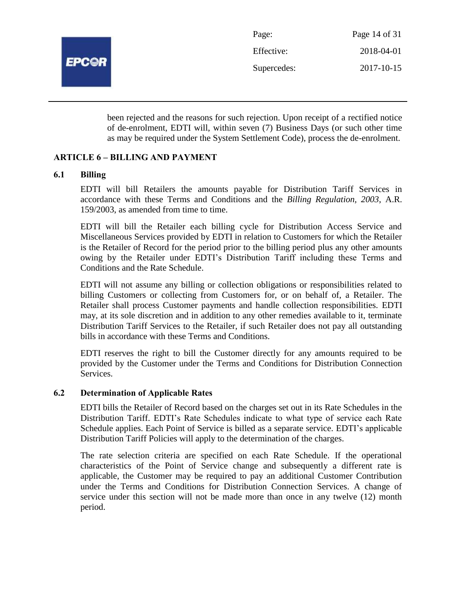

| Page:       | Page 14 of 31 |
|-------------|---------------|
| Effective:  | 2018-04-01    |
| Supercedes: | 2017-10-15    |

been rejected and the reasons for such rejection. Upon receipt of a rectified notice of de-enrolment, EDTI will, within seven (7) Business Days (or such other time as may be required under the System Settlement Code), process the de-enrolment.

# **ARTICLE 6 – BILLING AND PAYMENT**

#### **6.1 Billing**

EDTI will bill Retailers the amounts payable for Distribution Tariff Services in accordance with these Terms and Conditions and the *Billing Regulation, 2003*, A.R. 159/2003, as amended from time to time.

EDTI will bill the Retailer each billing cycle for Distribution Access Service and Miscellaneous Services provided by EDTI in relation to Customers for which the Retailer is the Retailer of Record for the period prior to the billing period plus any other amounts owing by the Retailer under EDTI's Distribution Tariff including these Terms and Conditions and the Rate Schedule.

EDTI will not assume any billing or collection obligations or responsibilities related to billing Customers or collecting from Customers for, or on behalf of, a Retailer. The Retailer shall process Customer payments and handle collection responsibilities. EDTI may, at its sole discretion and in addition to any other remedies available to it, terminate Distribution Tariff Services to the Retailer, if such Retailer does not pay all outstanding bills in accordance with these Terms and Conditions.

EDTI reserves the right to bill the Customer directly for any amounts required to be provided by the Customer under the Terms and Conditions for Distribution Connection Services.

#### **6.2 Determination of Applicable Rates**

EDTI bills the Retailer of Record based on the charges set out in its Rate Schedules in the Distribution Tariff. EDTI's Rate Schedules indicate to what type of service each Rate Schedule applies. Each Point of Service is billed as a separate service. EDTI's applicable Distribution Tariff Policies will apply to the determination of the charges.

The rate selection criteria are specified on each Rate Schedule. If the operational characteristics of the Point of Service change and subsequently a different rate is applicable, the Customer may be required to pay an additional Customer Contribution under the Terms and Conditions for Distribution Connection Services. A change of service under this section will not be made more than once in any twelve (12) month period.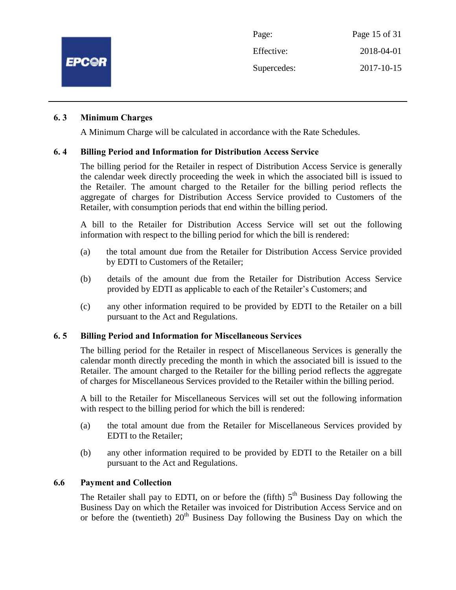

#### **6. 3 Minimum Charges**

A Minimum Charge will be calculated in accordance with the Rate Schedules.

#### **6. 4 Billing Period and Information for Distribution Access Service**

The billing period for the Retailer in respect of Distribution Access Service is generally the calendar week directly proceeding the week in which the associated bill is issued to the Retailer. The amount charged to the Retailer for the billing period reflects the aggregate of charges for Distribution Access Service provided to Customers of the Retailer, with consumption periods that end within the billing period.

A bill to the Retailer for Distribution Access Service will set out the following information with respect to the billing period for which the bill is rendered:

- (a) the total amount due from the Retailer for Distribution Access Service provided by EDTI to Customers of the Retailer;
- (b) details of the amount due from the Retailer for Distribution Access Service provided by EDTI as applicable to each of the Retailer's Customers; and
- (c) any other information required to be provided by EDTI to the Retailer on a bill pursuant to the Act and Regulations.

#### **6. 5 Billing Period and Information for Miscellaneous Services**

The billing period for the Retailer in respect of Miscellaneous Services is generally the calendar month directly preceding the month in which the associated bill is issued to the Retailer. The amount charged to the Retailer for the billing period reflects the aggregate of charges for Miscellaneous Services provided to the Retailer within the billing period.

A bill to the Retailer for Miscellaneous Services will set out the following information with respect to the billing period for which the bill is rendered:

- (a) the total amount due from the Retailer for Miscellaneous Services provided by EDTI to the Retailer;
- (b) any other information required to be provided by EDTI to the Retailer on a bill pursuant to the Act and Regulations.

#### **6.6 Payment and Collection**

The Retailer shall pay to EDTI, on or before the (fifth)  $5<sup>th</sup>$  Business Day following the Business Day on which the Retailer was invoiced for Distribution Access Service and on or before the (twentieth)  $20<sup>th</sup>$  Business Day following the Business Day on which the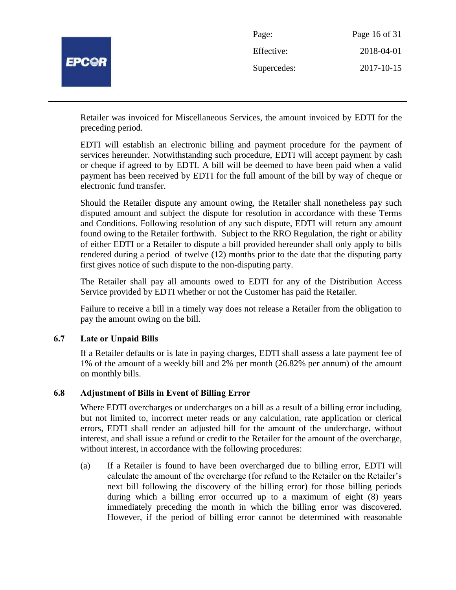

| Page:       | Page 16 of 31 |
|-------------|---------------|
| Effective:  | 2018-04-01    |
| Supercedes: | 2017-10-15    |

Retailer was invoiced for Miscellaneous Services, the amount invoiced by EDTI for the preceding period.

EDTI will establish an electronic billing and payment procedure for the payment of services hereunder. Notwithstanding such procedure, EDTI will accept payment by cash or cheque if agreed to by EDTI. A bill will be deemed to have been paid when a valid payment has been received by EDTI for the full amount of the bill by way of cheque or electronic fund transfer.

Should the Retailer dispute any amount owing, the Retailer shall nonetheless pay such disputed amount and subject the dispute for resolution in accordance with these Terms and Conditions. Following resolution of any such dispute, EDTI will return any amount found owing to the Retailer forthwith. Subject to the RRO Regulation, the right or ability of either EDTI or a Retailer to dispute a bill provided hereunder shall only apply to bills rendered during a period of twelve (12) months prior to the date that the disputing party first gives notice of such dispute to the non-disputing party.

The Retailer shall pay all amounts owed to EDTI for any of the Distribution Access Service provided by EDTI whether or not the Customer has paid the Retailer.

Failure to receive a bill in a timely way does not release a Retailer from the obligation to pay the amount owing on the bill.

# **6.7 Late or Unpaid Bills**

If a Retailer defaults or is late in paying charges, EDTI shall assess a late payment fee of 1% of the amount of a weekly bill and 2% per month (26.82% per annum) of the amount on monthly bills.

# **6.8 Adjustment of Bills in Event of Billing Error**

Where EDTI overcharges or undercharges on a bill as a result of a billing error including, but not limited to, incorrect meter reads or any calculation, rate application or clerical errors, EDTI shall render an adjusted bill for the amount of the undercharge, without interest, and shall issue a refund or credit to the Retailer for the amount of the overcharge, without interest, in accordance with the following procedures:

(a) If a Retailer is found to have been overcharged due to billing error, EDTI will calculate the amount of the overcharge (for refund to the Retailer on the Retailer's next bill following the discovery of the billing error) for those billing periods during which a billing error occurred up to a maximum of eight (8) years immediately preceding the month in which the billing error was discovered. However, if the period of billing error cannot be determined with reasonable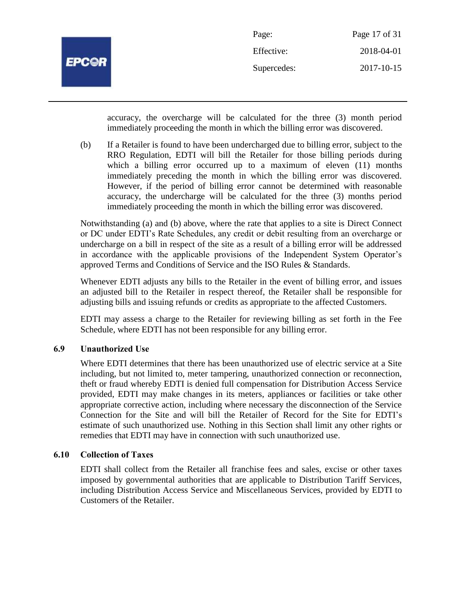

| Page:       | Page 17 of 31 |
|-------------|---------------|
| Effective:  | 2018-04-01    |
| Supercedes: | 2017-10-15    |

accuracy, the overcharge will be calculated for the three (3) month period immediately proceeding the month in which the billing error was discovered.

(b) If a Retailer is found to have been undercharged due to billing error, subject to the RRO Regulation, EDTI will bill the Retailer for those billing periods during which a billing error occurred up to a maximum of eleven (11) months immediately preceding the month in which the billing error was discovered. However, if the period of billing error cannot be determined with reasonable accuracy, the undercharge will be calculated for the three (3) months period immediately proceeding the month in which the billing error was discovered.

Notwithstanding (a) and (b) above, where the rate that applies to a site is Direct Connect or DC under EDTI's Rate Schedules, any credit or debit resulting from an overcharge or undercharge on a bill in respect of the site as a result of a billing error will be addressed in accordance with the applicable provisions of the Independent System Operator's approved Terms and Conditions of Service and the ISO Rules & Standards.

Whenever EDTI adjusts any bills to the Retailer in the event of billing error, and issues an adjusted bill to the Retailer in respect thereof, the Retailer shall be responsible for adjusting bills and issuing refunds or credits as appropriate to the affected Customers.

EDTI may assess a charge to the Retailer for reviewing billing as set forth in the Fee Schedule, where EDTI has not been responsible for any billing error.

# **6.9 Unauthorized Use**

Where EDTI determines that there has been unauthorized use of electric service at a Site including, but not limited to, meter tampering, unauthorized connection or reconnection, theft or fraud whereby EDTI is denied full compensation for Distribution Access Service provided, EDTI may make changes in its meters, appliances or facilities or take other appropriate corrective action, including where necessary the disconnection of the Service Connection for the Site and will bill the Retailer of Record for the Site for EDTI's estimate of such unauthorized use. Nothing in this Section shall limit any other rights or remedies that EDTI may have in connection with such unauthorized use.

#### **6.10 Collection of Taxes**

EDTI shall collect from the Retailer all franchise fees and sales, excise or other taxes imposed by governmental authorities that are applicable to Distribution Tariff Services, including Distribution Access Service and Miscellaneous Services, provided by EDTI to Customers of the Retailer.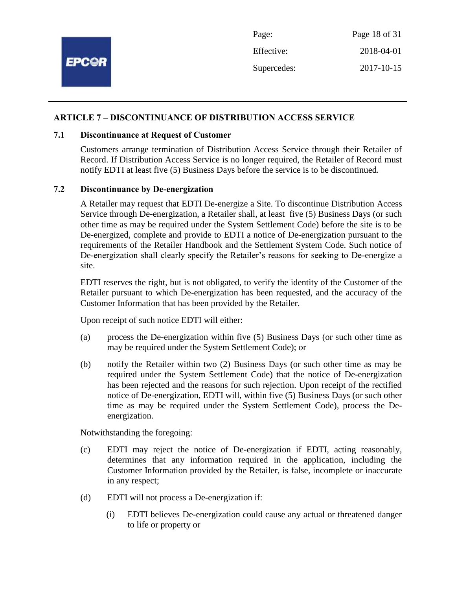

#### **ARTICLE 7 – DISCONTINUANCE OF DISTRIBUTION ACCESS SERVICE**

#### **7.1 Discontinuance at Request of Customer**

Customers arrange termination of Distribution Access Service through their Retailer of Record. If Distribution Access Service is no longer required, the Retailer of Record must notify EDTI at least five (5) Business Days before the service is to be discontinued.

#### **7.2 Discontinuance by De-energization**

A Retailer may request that EDTI De-energize a Site. To discontinue Distribution Access Service through De-energization, a Retailer shall, at least five (5) Business Days (or such other time as may be required under the System Settlement Code) before the site is to be De-energized, complete and provide to EDTI a notice of De-energization pursuant to the requirements of the Retailer Handbook and the Settlement System Code. Such notice of De-energization shall clearly specify the Retailer's reasons for seeking to De-energize a site.

EDTI reserves the right, but is not obligated, to verify the identity of the Customer of the Retailer pursuant to which De-energization has been requested, and the accuracy of the Customer Information that has been provided by the Retailer.

Upon receipt of such notice EDTI will either:

- (a) process the De-energization within five (5) Business Days (or such other time as may be required under the System Settlement Code); or
- (b) notify the Retailer within two (2) Business Days (or such other time as may be required under the System Settlement Code) that the notice of De-energization has been rejected and the reasons for such rejection. Upon receipt of the rectified notice of De-energization, EDTI will, within five (5) Business Days (or such other time as may be required under the System Settlement Code), process the Deenergization.

Notwithstanding the foregoing:

- (c) EDTI may reject the notice of De-energization if EDTI, acting reasonably, determines that any information required in the application, including the Customer Information provided by the Retailer, is false, incomplete or inaccurate in any respect;
- (d) EDTI will not process a De-energization if:
	- (i) EDTI believes De-energization could cause any actual or threatened danger to life or property or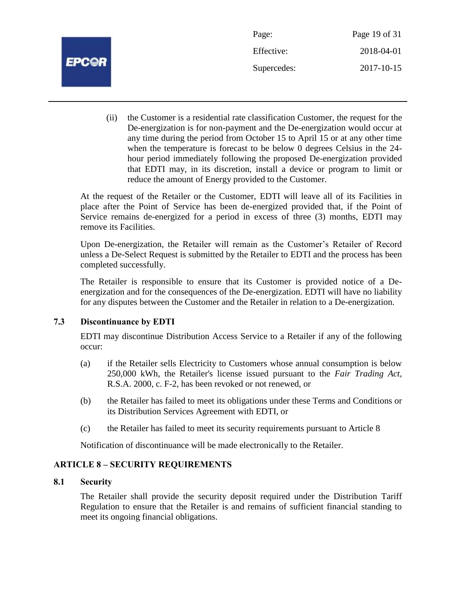

| Page:       | Page 19 of 31 |
|-------------|---------------|
| Effective:  | 2018-04-01    |
| Supercedes: | 2017-10-15    |

(ii) the Customer is a residential rate classification Customer, the request for the De-energization is for non-payment and the De-energization would occur at any time during the period from October 15 to April 15 or at any other time when the temperature is forecast to be below 0 degrees Celsius in the 24 hour period immediately following the proposed De-energization provided that EDTI may, in its discretion, install a device or program to limit or reduce the amount of Energy provided to the Customer.

At the request of the Retailer or the Customer, EDTI will leave all of its Facilities in place after the Point of Service has been de-energized provided that, if the Point of Service remains de-energized for a period in excess of three (3) months, EDTI may remove its Facilities.

Upon De-energization, the Retailer will remain as the Customer's Retailer of Record unless a De-Select Request is submitted by the Retailer to EDTI and the process has been completed successfully.

The Retailer is responsible to ensure that its Customer is provided notice of a Deenergization and for the consequences of the De-energization. EDTI will have no liability for any disputes between the Customer and the Retailer in relation to a De-energization.

# **7.3 Discontinuance by EDTI**

EDTI may discontinue Distribution Access Service to a Retailer if any of the following occur:

- (a) if the Retailer sells Electricity to Customers whose annual consumption is below 250,000 kWh, the Retailer's license issued pursuant to the *Fair Trading Act,* R.S.A. 2000, c. F-2, has been revoked or not renewed, or
- (b) the Retailer has failed to meet its obligations under these Terms and Conditions or its Distribution Services Agreement with EDTI, or
- (c) the Retailer has failed to meet its security requirements pursuant to Article 8

Notification of discontinuance will be made electronically to the Retailer.

# **ARTICLE 8 – SECURITY REQUIREMENTS**

#### **8.1 Security**

The Retailer shall provide the security deposit required under the Distribution Tariff Regulation to ensure that the Retailer is and remains of sufficient financial standing to meet its ongoing financial obligations.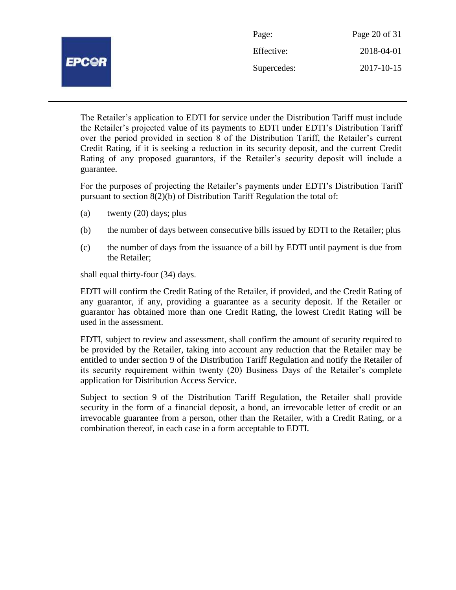|              | Page:       | Page 20 of 31 |
|--------------|-------------|---------------|
| <b>EPC@R</b> | Effective:  | 2018-04-01    |
|              | Supercedes: | 2017-10-15    |
|              |             |               |

The Retailer's application to EDTI for service under the Distribution Tariff must include the Retailer's projected value of its payments to EDTI under EDTI's Distribution Tariff over the period provided in section 8 of the Distribution Tariff, the Retailer's current Credit Rating, if it is seeking a reduction in its security deposit, and the current Credit Rating of any proposed guarantors, if the Retailer's security deposit will include a guarantee.

For the purposes of projecting the Retailer's payments under EDTI's Distribution Tariff pursuant to section 8(2)(b) of Distribution Tariff Regulation the total of:

- (a) twenty (20) days; plus
- (b) the number of days between consecutive bills issued by EDTI to the Retailer; plus
- (c) the number of days from the issuance of a bill by EDTI until payment is due from the Retailer;

shall equal thirty-four (34) days.

EDTI will confirm the Credit Rating of the Retailer, if provided, and the Credit Rating of any guarantor, if any, providing a guarantee as a security deposit. If the Retailer or guarantor has obtained more than one Credit Rating, the lowest Credit Rating will be used in the assessment.

EDTI, subject to review and assessment, shall confirm the amount of security required to be provided by the Retailer, taking into account any reduction that the Retailer may be entitled to under section 9 of the Distribution Tariff Regulation and notify the Retailer of its security requirement within twenty (20) Business Days of the Retailer's complete application for Distribution Access Service.

Subject to section 9 of the Distribution Tariff Regulation, the Retailer shall provide security in the form of a financial deposit, a bond, an irrevocable letter of credit or an irrevocable guarantee from a person, other than the Retailer, with a Credit Rating, or a combination thereof, in each case in a form acceptable to EDTI.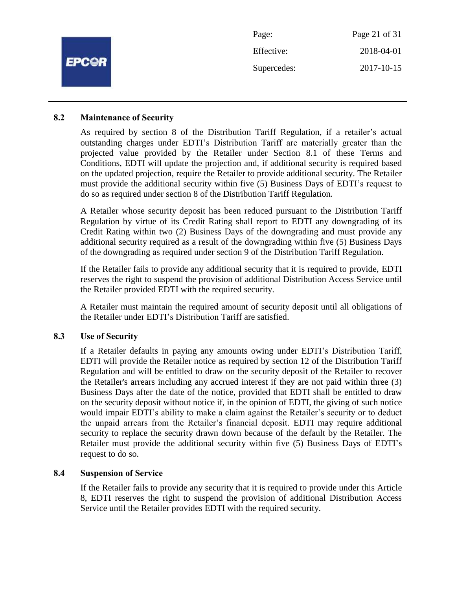|              | Page:       | Page 21 of 31 |
|--------------|-------------|---------------|
| <b>EPC@R</b> | Effective:  | 2018-04-01    |
|              | Supercedes: | 2017-10-15    |
|              |             |               |

#### **8.2 Maintenance of Security**

As required by section 8 of the Distribution Tariff Regulation, if a retailer's actual outstanding charges under EDTI's Distribution Tariff are materially greater than the projected value provided by the Retailer under Section 8.1 of these Terms and Conditions, EDTI will update the projection and, if additional security is required based on the updated projection, require the Retailer to provide additional security. The Retailer must provide the additional security within five (5) Business Days of EDTI's request to do so as required under section 8 of the Distribution Tariff Regulation.

A Retailer whose security deposit has been reduced pursuant to the Distribution Tariff Regulation by virtue of its Credit Rating shall report to EDTI any downgrading of its Credit Rating within two (2) Business Days of the downgrading and must provide any additional security required as a result of the downgrading within five (5) Business Days of the downgrading as required under section 9 of the Distribution Tariff Regulation.

If the Retailer fails to provide any additional security that it is required to provide, EDTI reserves the right to suspend the provision of additional Distribution Access Service until the Retailer provided EDTI with the required security.

A Retailer must maintain the required amount of security deposit until all obligations of the Retailer under EDTI's Distribution Tariff are satisfied.

#### **8.3 Use of Security**

If a Retailer defaults in paying any amounts owing under EDTI's Distribution Tariff, EDTI will provide the Retailer notice as required by section 12 of the Distribution Tariff Regulation and will be entitled to draw on the security deposit of the Retailer to recover the Retailer's arrears including any accrued interest if they are not paid within three (3) Business Days after the date of the notice, provided that EDTI shall be entitled to draw on the security deposit without notice if, in the opinion of EDTI, the giving of such notice would impair EDTI's ability to make a claim against the Retailer's security or to deduct the unpaid arrears from the Retailer's financial deposit. EDTI may require additional security to replace the security drawn down because of the default by the Retailer. The Retailer must provide the additional security within five (5) Business Days of EDTI's request to do so.

#### **8.4 Suspension of Service**

If the Retailer fails to provide any security that it is required to provide under this Article 8, EDTI reserves the right to suspend the provision of additional Distribution Access Service until the Retailer provides EDTI with the required security.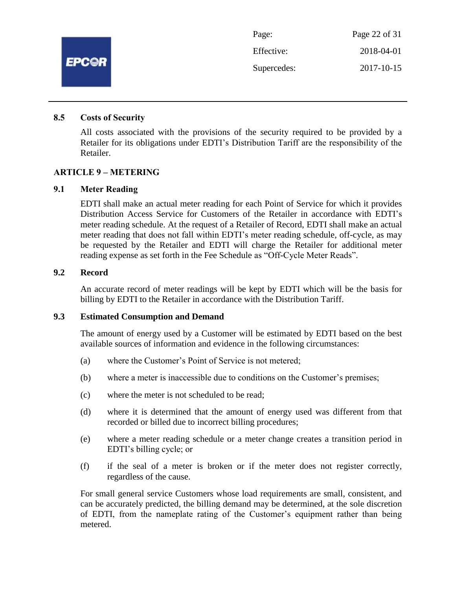

#### **8.5 Costs of Security**

All costs associated with the provisions of the security required to be provided by a Retailer for its obligations under EDTI's Distribution Tariff are the responsibility of the Retailer.

#### **ARTICLE 9 – METERING**

#### **9.1 Meter Reading**

EDTI shall make an actual meter reading for each Point of Service for which it provides Distribution Access Service for Customers of the Retailer in accordance with EDTI's meter reading schedule. At the request of a Retailer of Record, EDTI shall make an actual meter reading that does not fall within EDTI's meter reading schedule, off-cycle, as may be requested by the Retailer and EDTI will charge the Retailer for additional meter reading expense as set forth in the Fee Schedule as "Off-Cycle Meter Reads".

#### **9.2 Record**

An accurate record of meter readings will be kept by EDTI which will be the basis for billing by EDTI to the Retailer in accordance with the Distribution Tariff.

#### **9.3 Estimated Consumption and Demand**

The amount of energy used by a Customer will be estimated by EDTI based on the best available sources of information and evidence in the following circumstances:

- (a) where the Customer's Point of Service is not metered;
- (b) where a meter is inaccessible due to conditions on the Customer's premises;
- (c) where the meter is not scheduled to be read;
- (d) where it is determined that the amount of energy used was different from that recorded or billed due to incorrect billing procedures;
- (e) where a meter reading schedule or a meter change creates a transition period in EDTI's billing cycle; or
- (f) if the seal of a meter is broken or if the meter does not register correctly, regardless of the cause.

For small general service Customers whose load requirements are small, consistent, and can be accurately predicted, the billing demand may be determined, at the sole discretion of EDTI, from the nameplate rating of the Customer's equipment rather than being metered.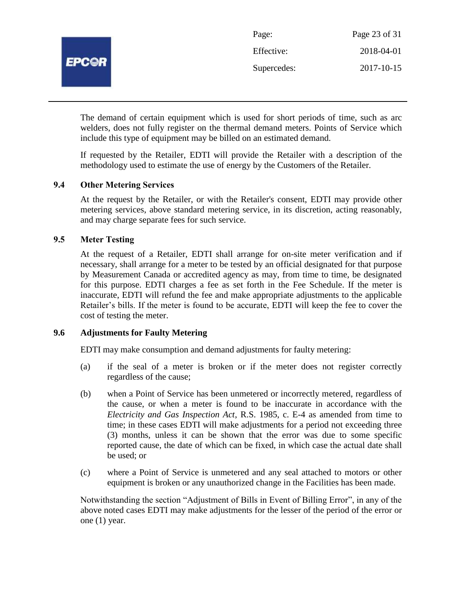

| Page:       | Page 23 of 31 |
|-------------|---------------|
| Effective:  | 2018-04-01    |
| Supercedes: | 2017-10-15    |

The demand of certain equipment which is used for short periods of time, such as arc welders, does not fully register on the thermal demand meters. Points of Service which include this type of equipment may be billed on an estimated demand.

If requested by the Retailer, EDTI will provide the Retailer with a description of the methodology used to estimate the use of energy by the Customers of the Retailer.

#### **9.4 Other Metering Services**

At the request by the Retailer, or with the Retailer's consent, EDTI may provide other metering services, above standard metering service, in its discretion, acting reasonably, and may charge separate fees for such service.

# **9.5 Meter Testing**

At the request of a Retailer, EDTI shall arrange for on-site meter verification and if necessary, shall arrange for a meter to be tested by an official designated for that purpose by Measurement Canada or accredited agency as may, from time to time, be designated for this purpose. EDTI charges a fee as set forth in the Fee Schedule. If the meter is inaccurate, EDTI will refund the fee and make appropriate adjustments to the applicable Retailer's bills. If the meter is found to be accurate, EDTI will keep the fee to cover the cost of testing the meter.

#### **9.6 Adjustments for Faulty Metering**

EDTI may make consumption and demand adjustments for faulty metering:

- (a) if the seal of a meter is broken or if the meter does not register correctly regardless of the cause;
- (b) when a Point of Service has been unmetered or incorrectly metered, regardless of the cause, or when a meter is found to be inaccurate in accordance with the *Electricity and Gas Inspection Act*, R.S. 1985, c. E-4 as amended from time to time; in these cases EDTI will make adjustments for a period not exceeding three (3) months, unless it can be shown that the error was due to some specific reported cause, the date of which can be fixed, in which case the actual date shall be used; or
- (c) where a Point of Service is unmetered and any seal attached to motors or other equipment is broken or any unauthorized change in the Facilities has been made.

Notwithstanding the section "Adjustment of Bills in Event of Billing Error", in any of the above noted cases EDTI may make adjustments for the lesser of the period of the error or one (1) year.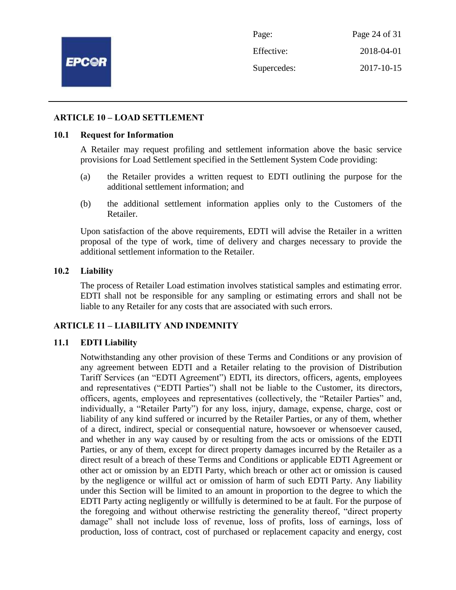

Page: Page 24 of 31 Effective: 2018-04-01 Supercedes: 2017-10-15

#### **ARTICLE 10 – LOAD SETTLEMENT**

#### **10.1 Request for Information**

A Retailer may request profiling and settlement information above the basic service provisions for Load Settlement specified in the Settlement System Code providing:

- (a) the Retailer provides a written request to EDTI outlining the purpose for the additional settlement information; and
- (b) the additional settlement information applies only to the Customers of the Retailer.

Upon satisfaction of the above requirements, EDTI will advise the Retailer in a written proposal of the type of work, time of delivery and charges necessary to provide the additional settlement information to the Retailer.

#### **10.2 Liability**

The process of Retailer Load estimation involves statistical samples and estimating error. EDTI shall not be responsible for any sampling or estimating errors and shall not be liable to any Retailer for any costs that are associated with such errors.

#### **ARTICLE 11 – LIABILITY AND INDEMNITY**

#### **11.1 EDTI Liability**

Notwithstanding any other provision of these Terms and Conditions or any provision of any agreement between EDTI and a Retailer relating to the provision of Distribution Tariff Services (an "EDTI Agreement") EDTI, its directors, officers, agents, employees and representatives ("EDTI Parties") shall not be liable to the Customer, its directors, officers, agents, employees and representatives (collectively, the "Retailer Parties" and, individually, a "Retailer Party") for any loss, injury, damage, expense, charge, cost or liability of any kind suffered or incurred by the Retailer Parties, or any of them, whether of a direct, indirect, special or consequential nature, howsoever or whensoever caused, and whether in any way caused by or resulting from the acts or omissions of the EDTI Parties, or any of them, except for direct property damages incurred by the Retailer as a direct result of a breach of these Terms and Conditions or applicable EDTI Agreement or other act or omission by an EDTI Party, which breach or other act or omission is caused by the negligence or willful act or omission of harm of such EDTI Party. Any liability under this Section will be limited to an amount in proportion to the degree to which the EDTI Party acting negligently or willfully is determined to be at fault. For the purpose of the foregoing and without otherwise restricting the generality thereof, "direct property damage" shall not include loss of revenue, loss of profits, loss of earnings, loss of production, loss of contract, cost of purchased or replacement capacity and energy, cost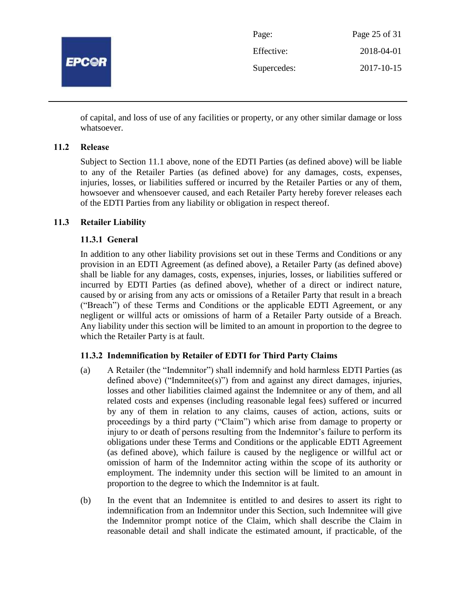

| Page:       | Page 25 of 31 |
|-------------|---------------|
| Effective:  | 2018-04-01    |
| Supercedes: | 2017-10-15    |

of capital, and loss of use of any facilities or property, or any other similar damage or loss whatsoever.

# **11.2 Release**

Subject to Section 11.1 above, none of the EDTI Parties (as defined above) will be liable to any of the Retailer Parties (as defined above) for any damages, costs, expenses, injuries, losses, or liabilities suffered or incurred by the Retailer Parties or any of them, howsoever and whensoever caused, and each Retailer Party hereby forever releases each of the EDTI Parties from any liability or obligation in respect thereof.

# **11.3 Retailer Liability**

# **11.3.1 General**

In addition to any other liability provisions set out in these Terms and Conditions or any provision in an EDTI Agreement (as defined above), a Retailer Party (as defined above) shall be liable for any damages, costs, expenses, injuries, losses, or liabilities suffered or incurred by EDTI Parties (as defined above), whether of a direct or indirect nature, caused by or arising from any acts or omissions of a Retailer Party that result in a breach ("Breach") of these Terms and Conditions or the applicable EDTI Agreement, or any negligent or willful acts or omissions of harm of a Retailer Party outside of a Breach. Any liability under this section will be limited to an amount in proportion to the degree to which the Retailer Party is at fault.

#### **11.3.2 Indemnification by Retailer of EDTI for Third Party Claims**

- (a) A Retailer (the "Indemnitor") shall indemnify and hold harmless EDTI Parties (as defined above) ("Indemnitee(s)") from and against any direct damages, injuries, losses and other liabilities claimed against the Indemnitee or any of them, and all related costs and expenses (including reasonable legal fees) suffered or incurred by any of them in relation to any claims, causes of action, actions, suits or proceedings by a third party ("Claim") which arise from damage to property or injury to or death of persons resulting from the Indemnitor's failure to perform its obligations under these Terms and Conditions or the applicable EDTI Agreement (as defined above), which failure is caused by the negligence or willful act or omission of harm of the Indemnitor acting within the scope of its authority or employment. The indemnity under this section will be limited to an amount in proportion to the degree to which the Indemnitor is at fault.
- (b) In the event that an Indemnitee is entitled to and desires to assert its right to indemnification from an Indemnitor under this Section, such Indemnitee will give the Indemnitor prompt notice of the Claim, which shall describe the Claim in reasonable detail and shall indicate the estimated amount, if practicable, of the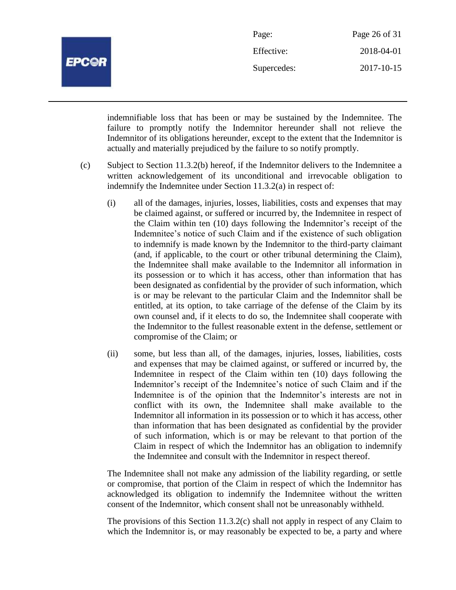

| Page:       | Page 26 of 31 |
|-------------|---------------|
| Effective:  | 2018-04-01    |
| Supercedes: | 2017-10-15    |

indemnifiable loss that has been or may be sustained by the Indemnitee. The failure to promptly notify the Indemnitor hereunder shall not relieve the Indemnitor of its obligations hereunder, except to the extent that the Indemnitor is actually and materially prejudiced by the failure to so notify promptly.

- (c) Subject to Section 11.3.2(b) hereof, if the Indemnitor delivers to the Indemnitee a written acknowledgement of its unconditional and irrevocable obligation to indemnify the Indemnitee under Section 11.3.2(a) in respect of:
	- (i) all of the damages, injuries, losses, liabilities, costs and expenses that may be claimed against, or suffered or incurred by, the Indemnitee in respect of the Claim within ten (10) days following the Indemnitor's receipt of the Indemnitee's notice of such Claim and if the existence of such obligation to indemnify is made known by the Indemnitor to the third-party claimant (and, if applicable, to the court or other tribunal determining the Claim), the Indemnitee shall make available to the Indemnitor all information in its possession or to which it has access, other than information that has been designated as confidential by the provider of such information, which is or may be relevant to the particular Claim and the Indemnitor shall be entitled, at its option, to take carriage of the defense of the Claim by its own counsel and, if it elects to do so, the Indemnitee shall cooperate with the Indemnitor to the fullest reasonable extent in the defense, settlement or compromise of the Claim; or
	- (ii) some, but less than all, of the damages, injuries, losses, liabilities, costs and expenses that may be claimed against, or suffered or incurred by, the Indemnitee in respect of the Claim within ten (10) days following the Indemnitor's receipt of the Indemnitee's notice of such Claim and if the Indemnitee is of the opinion that the Indemnitor's interests are not in conflict with its own, the Indemnitee shall make available to the Indemnitor all information in its possession or to which it has access, other than information that has been designated as confidential by the provider of such information, which is or may be relevant to that portion of the Claim in respect of which the Indemnitor has an obligation to indemnify the Indemnitee and consult with the Indemnitor in respect thereof.

The Indemnitee shall not make any admission of the liability regarding, or settle or compromise, that portion of the Claim in respect of which the Indemnitor has acknowledged its obligation to indemnify the Indemnitee without the written consent of the Indemnitor, which consent shall not be unreasonably withheld.

The provisions of this Section 11.3.2(c) shall not apply in respect of any Claim to which the Indemnitor is, or may reasonably be expected to be, a party and where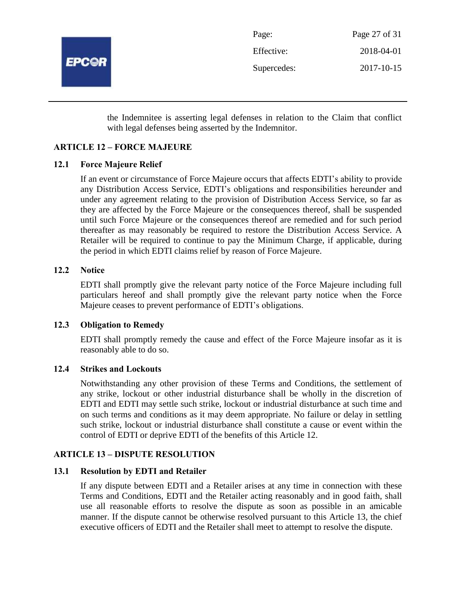

| Page:       | Page 27 of 31 |
|-------------|---------------|
| Effective:  | 2018-04-01    |
| Supercedes: | 2017-10-15    |

the Indemnitee is asserting legal defenses in relation to the Claim that conflict with legal defenses being asserted by the Indemnitor.

# **ARTICLE 12 – FORCE MAJEURE**

# **12.1 Force Majeure Relief**

If an event or circumstance of Force Majeure occurs that affects EDTI's ability to provide any Distribution Access Service, EDTI's obligations and responsibilities hereunder and under any agreement relating to the provision of Distribution Access Service, so far as they are affected by the Force Majeure or the consequences thereof, shall be suspended until such Force Majeure or the consequences thereof are remedied and for such period thereafter as may reasonably be required to restore the Distribution Access Service. A Retailer will be required to continue to pay the Minimum Charge, if applicable, during the period in which EDTI claims relief by reason of Force Majeure.

# **12.2 Notice**

EDTI shall promptly give the relevant party notice of the Force Majeure including full particulars hereof and shall promptly give the relevant party notice when the Force Majeure ceases to prevent performance of EDTI's obligations.

#### **12.3 Obligation to Remedy**

EDTI shall promptly remedy the cause and effect of the Force Majeure insofar as it is reasonably able to do so.

#### **12.4 Strikes and Lockouts**

Notwithstanding any other provision of these Terms and Conditions, the settlement of any strike, lockout or other industrial disturbance shall be wholly in the discretion of EDTI and EDTI may settle such strike, lockout or industrial disturbance at such time and on such terms and conditions as it may deem appropriate. No failure or delay in settling such strike, lockout or industrial disturbance shall constitute a cause or event within the control of EDTI or deprive EDTI of the benefits of this Article 12.

#### **ARTICLE 13 – DISPUTE RESOLUTION**

#### **13.1 Resolution by EDTI and Retailer**

If any dispute between EDTI and a Retailer arises at any time in connection with these Terms and Conditions, EDTI and the Retailer acting reasonably and in good faith, shall use all reasonable efforts to resolve the dispute as soon as possible in an amicable manner. If the dispute cannot be otherwise resolved pursuant to this Article 13, the chief executive officers of EDTI and the Retailer shall meet to attempt to resolve the dispute.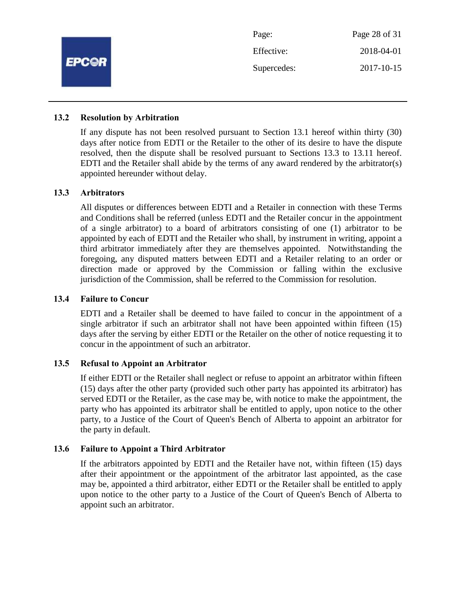

#### **13.2 Resolution by Arbitration**

If any dispute has not been resolved pursuant to Section 13.1 hereof within thirty (30) days after notice from EDTI or the Retailer to the other of its desire to have the dispute resolved, then the dispute shall be resolved pursuant to Sections 13.3 to 13.11 hereof. EDTI and the Retailer shall abide by the terms of any award rendered by the arbitrator(s) appointed hereunder without delay.

#### **13.3 Arbitrators**

All disputes or differences between EDTI and a Retailer in connection with these Terms and Conditions shall be referred (unless EDTI and the Retailer concur in the appointment of a single arbitrator) to a board of arbitrators consisting of one (1) arbitrator to be appointed by each of EDTI and the Retailer who shall, by instrument in writing, appoint a third arbitrator immediately after they are themselves appointed. Notwithstanding the foregoing, any disputed matters between EDTI and a Retailer relating to an order or direction made or approved by the Commission or falling within the exclusive jurisdiction of the Commission, shall be referred to the Commission for resolution.

#### **13.4 Failure to Concur**

EDTI and a Retailer shall be deemed to have failed to concur in the appointment of a single arbitrator if such an arbitrator shall not have been appointed within fifteen (15) days after the serving by either EDTI or the Retailer on the other of notice requesting it to concur in the appointment of such an arbitrator.

#### **13.5 Refusal to Appoint an Arbitrator**

If either EDTI or the Retailer shall neglect or refuse to appoint an arbitrator within fifteen (15) days after the other party (provided such other party has appointed its arbitrator) has served EDTI or the Retailer, as the case may be, with notice to make the appointment, the party who has appointed its arbitrator shall be entitled to apply, upon notice to the other party, to a Justice of the Court of Queen's Bench of Alberta to appoint an arbitrator for the party in default.

#### **13.6 Failure to Appoint a Third Arbitrator**

If the arbitrators appointed by EDTI and the Retailer have not, within fifteen (15) days after their appointment or the appointment of the arbitrator last appointed, as the case may be, appointed a third arbitrator, either EDTI or the Retailer shall be entitled to apply upon notice to the other party to a Justice of the Court of Queen's Bench of Alberta to appoint such an arbitrator.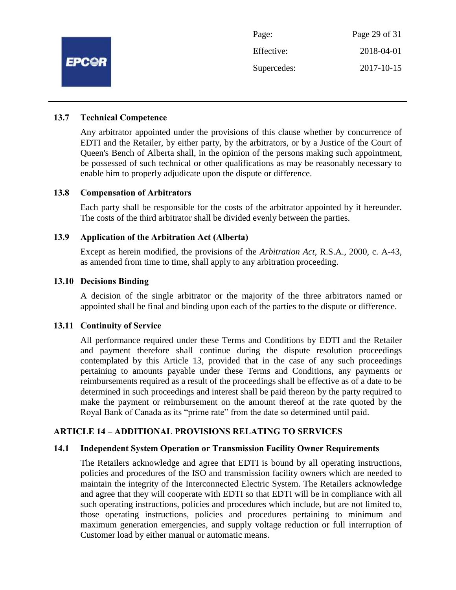

#### **13.7 Technical Competence**

Any arbitrator appointed under the provisions of this clause whether by concurrence of EDTI and the Retailer, by either party, by the arbitrators, or by a Justice of the Court of Queen's Bench of Alberta shall, in the opinion of the persons making such appointment, be possessed of such technical or other qualifications as may be reasonably necessary to enable him to properly adjudicate upon the dispute or difference.

#### **13.8 Compensation of Arbitrators**

Each party shall be responsible for the costs of the arbitrator appointed by it hereunder. The costs of the third arbitrator shall be divided evenly between the parties.

#### **13.9 Application of the Arbitration Act (Alberta)**

Except as herein modified, the provisions of the *Arbitration Act*, R.S.A., 2000, c. A-43, as amended from time to time, shall apply to any arbitration proceeding.

#### **13.10 Decisions Binding**

A decision of the single arbitrator or the majority of the three arbitrators named or appointed shall be final and binding upon each of the parties to the dispute or difference.

#### **13.11 Continuity of Service**

All performance required under these Terms and Conditions by EDTI and the Retailer and payment therefore shall continue during the dispute resolution proceedings contemplated by this Article 13, provided that in the case of any such proceedings pertaining to amounts payable under these Terms and Conditions, any payments or reimbursements required as a result of the proceedings shall be effective as of a date to be determined in such proceedings and interest shall be paid thereon by the party required to make the payment or reimbursement on the amount thereof at the rate quoted by the Royal Bank of Canada as its "prime rate" from the date so determined until paid.

#### **ARTICLE 14 – ADDITIONAL PROVISIONS RELATING TO SERVICES**

#### **14.1 Independent System Operation or Transmission Facility Owner Requirements**

The Retailers acknowledge and agree that EDTI is bound by all operating instructions, policies and procedures of the ISO and transmission facility owners which are needed to maintain the integrity of the Interconnected Electric System. The Retailers acknowledge and agree that they will cooperate with EDTI so that EDTI will be in compliance with all such operating instructions, policies and procedures which include, but are not limited to, those operating instructions, policies and procedures pertaining to minimum and maximum generation emergencies, and supply voltage reduction or full interruption of Customer load by either manual or automatic means.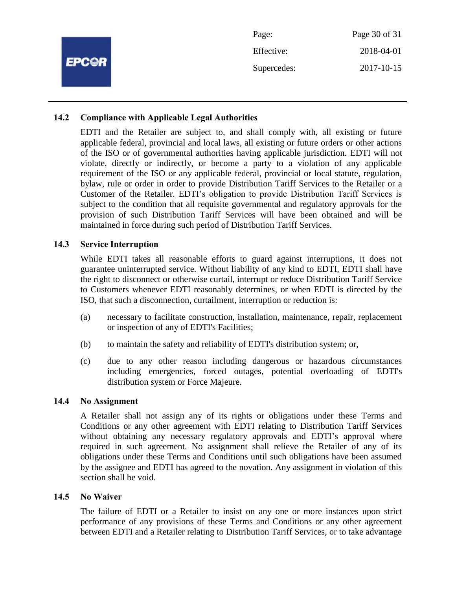|              | Page:       | Page 30 of 31 |
|--------------|-------------|---------------|
| <b>EPCOR</b> | Effective:  | 2018-04-01    |
|              | Supercedes: | 2017-10-15    |
|              |             |               |

#### **14.2 Compliance with Applicable Legal Authorities**

EDTI and the Retailer are subject to, and shall comply with, all existing or future applicable federal, provincial and local laws, all existing or future orders or other actions of the ISO or of governmental authorities having applicable jurisdiction. EDTI will not violate, directly or indirectly, or become a party to a violation of any applicable requirement of the ISO or any applicable federal, provincial or local statute, regulation, bylaw, rule or order in order to provide Distribution Tariff Services to the Retailer or a Customer of the Retailer. EDTI's obligation to provide Distribution Tariff Services is subject to the condition that all requisite governmental and regulatory approvals for the provision of such Distribution Tariff Services will have been obtained and will be maintained in force during such period of Distribution Tariff Services.

#### **14.3 Service Interruption**

While EDTI takes all reasonable efforts to guard against interruptions, it does not guarantee uninterrupted service. Without liability of any kind to EDTI, EDTI shall have the right to disconnect or otherwise curtail, interrupt or reduce Distribution Tariff Service to Customers whenever EDTI reasonably determines, or when EDTI is directed by the ISO, that such a disconnection, curtailment, interruption or reduction is:

- (a) necessary to facilitate construction, installation, maintenance, repair, replacement or inspection of any of EDTI's Facilities;
- (b) to maintain the safety and reliability of EDTI's distribution system; or,
- (c) due to any other reason including dangerous or hazardous circumstances including emergencies, forced outages, potential overloading of EDTI's distribution system or Force Majeure.

#### **14.4 No Assignment**

A Retailer shall not assign any of its rights or obligations under these Terms and Conditions or any other agreement with EDTI relating to Distribution Tariff Services without obtaining any necessary regulatory approvals and EDTI's approval where required in such agreement. No assignment shall relieve the Retailer of any of its obligations under these Terms and Conditions until such obligations have been assumed by the assignee and EDTI has agreed to the novation. Any assignment in violation of this section shall be void.

#### **14.5 No Waiver**

The failure of EDTI or a Retailer to insist on any one or more instances upon strict performance of any provisions of these Terms and Conditions or any other agreement between EDTI and a Retailer relating to Distribution Tariff Services, or to take advantage